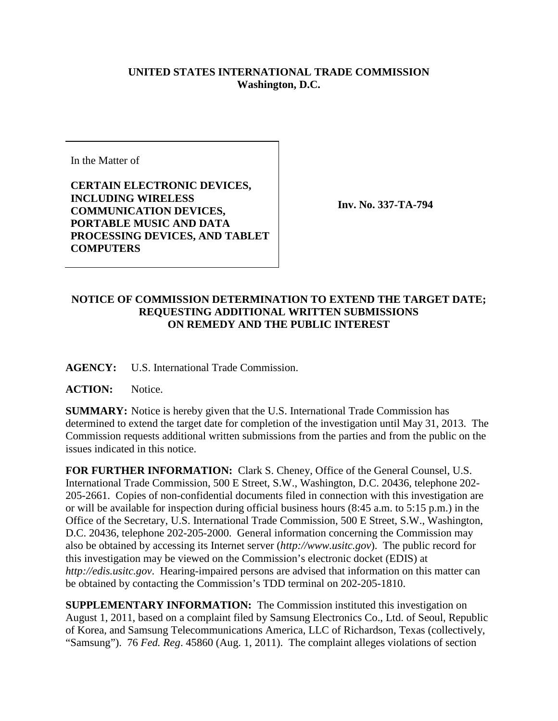## **UNITED STATES INTERNATIONAL TRADE COMMISSION Washington, D.C.**

In the Matter of

**CERTAIN ELECTRONIC DEVICES, INCLUDING WIRELESS COMMUNICATION DEVICES, PORTABLE MUSIC AND DATA PROCESSING DEVICES, AND TABLET COMPUTERS**

**Inv. No. 337-TA-794**

## **NOTICE OF COMMISSION DETERMINATION TO EXTEND THE TARGET DATE; REQUESTING ADDITIONAL WRITTEN SUBMISSIONS ON REMEDY AND THE PUBLIC INTEREST**

**AGENCY:** U.S. International Trade Commission.

**ACTION:** Notice.

**SUMMARY:** Notice is hereby given that the U.S. International Trade Commission has determined to extend the target date for completion of the investigation until May 31, 2013. The Commission requests additional written submissions from the parties and from the public on the issues indicated in this notice.

**FOR FURTHER INFORMATION:** Clark S. Cheney, Office of the General Counsel, U.S. International Trade Commission, 500 E Street, S.W., Washington, D.C. 20436, telephone 202- 205-2661. Copies of non-confidential documents filed in connection with this investigation are or will be available for inspection during official business hours (8:45 a.m. to 5:15 p.m.) in the Office of the Secretary, U.S. International Trade Commission, 500 E Street, S.W., Washington, D.C. 20436, telephone 202-205-2000. General information concerning the Commission may also be obtained by accessing its Internet server (*http://www.usitc.gov*). The public record for this investigation may be viewed on the Commission's electronic docket (EDIS) at *http://edis.usitc.gov*. Hearing-impaired persons are advised that information on this matter can be obtained by contacting the Commission's TDD terminal on 202-205-1810.

**SUPPLEMENTARY INFORMATION:** The Commission instituted this investigation on August 1, 2011, based on a complaint filed by Samsung Electronics Co., Ltd. of Seoul, Republic of Korea, and Samsung Telecommunications America, LLC of Richardson, Texas (collectively, "Samsung"). 76 *Fed. Reg*. 45860 (Aug. 1, 2011). The complaint alleges violations of section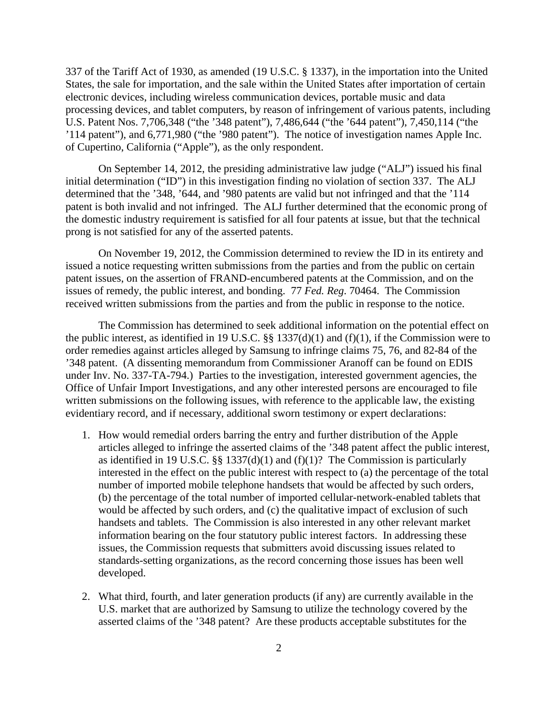337 of the Tariff Act of 1930, as amended (19 U.S.C. § 1337), in the importation into the United States, the sale for importation, and the sale within the United States after importation of certain electronic devices, including wireless communication devices, portable music and data processing devices, and tablet computers, by reason of infringement of various patents, including U.S. Patent Nos. 7,706,348 ("the '348 patent"), 7,486,644 ("the '644 patent"), 7,450,114 ("the '114 patent"), and 6,771,980 ("the '980 patent"). The notice of investigation names Apple Inc. of Cupertino, California ("Apple"), as the only respondent.

On September 14, 2012, the presiding administrative law judge ("ALJ") issued his final initial determination ("ID") in this investigation finding no violation of section 337. The ALJ determined that the '348, '644, and '980 patents are valid but not infringed and that the '114 patent is both invalid and not infringed. The ALJ further determined that the economic prong of the domestic industry requirement is satisfied for all four patents at issue, but that the technical prong is not satisfied for any of the asserted patents.

On November 19, 2012, the Commission determined to review the ID in its entirety and issued a notice requesting written submissions from the parties and from the public on certain patent issues, on the assertion of FRAND-encumbered patents at the Commission, and on the issues of remedy, the public interest, and bonding. 77 *Fed. Reg*. 70464. The Commission received written submissions from the parties and from the public in response to the notice.

The Commission has determined to seek additional information on the potential effect on the public interest, as identified in 19 U.S.C. §§ 1337(d)(1) and (f)(1), if the Commission were to order remedies against articles alleged by Samsung to infringe claims 75, 76, and 82-84 of the '348 patent. (A dissenting memorandum from Commissioner Aranoff can be found on EDIS under Inv. No. 337-TA-794.) Parties to the investigation, interested government agencies, the Office of Unfair Import Investigations, and any other interested persons are encouraged to file written submissions on the following issues, with reference to the applicable law, the existing evidentiary record, and if necessary, additional sworn testimony or expert declarations:

- 1. How would remedial orders barring the entry and further distribution of the Apple articles alleged to infringe the asserted claims of the '348 patent affect the public interest, as identified in 19 U.S.C. §§ 1337(d)(1) and (f)(1)? The Commission is particularly interested in the effect on the public interest with respect to (a) the percentage of the total number of imported mobile telephone handsets that would be affected by such orders, (b) the percentage of the total number of imported cellular-network-enabled tablets that would be affected by such orders, and (c) the qualitative impact of exclusion of such handsets and tablets. The Commission is also interested in any other relevant market information bearing on the four statutory public interest factors. In addressing these issues, the Commission requests that submitters avoid discussing issues related to standards-setting organizations, as the record concerning those issues has been well developed.
- 2. What third, fourth, and later generation products (if any) are currently available in the U.S. market that are authorized by Samsung to utilize the technology covered by the asserted claims of the '348 patent? Are these products acceptable substitutes for the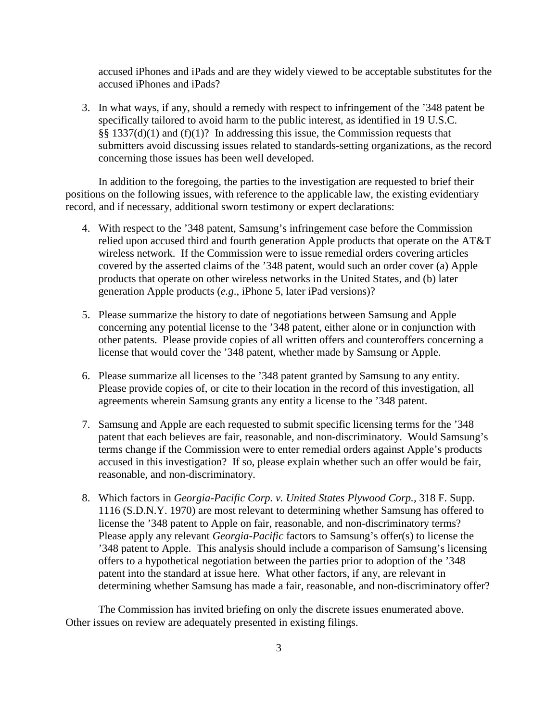accused iPhones and iPads and are they widely viewed to be acceptable substitutes for the accused iPhones and iPads?

3. In what ways, if any, should a remedy with respect to infringement of the '348 patent be specifically tailored to avoid harm to the public interest, as identified in 19 U.S.C.  $\S$ § 1337(d)(1) and (f)(1)? In addressing this issue, the Commission requests that submitters avoid discussing issues related to standards-setting organizations, as the record concerning those issues has been well developed.

In addition to the foregoing, the parties to the investigation are requested to brief their positions on the following issues, with reference to the applicable law, the existing evidentiary record, and if necessary, additional sworn testimony or expert declarations:

- 4. With respect to the '348 patent, Samsung's infringement case before the Commission relied upon accused third and fourth generation Apple products that operate on the AT&T wireless network. If the Commission were to issue remedial orders covering articles covered by the asserted claims of the '348 patent, would such an order cover (a) Apple products that operate on other wireless networks in the United States, and (b) later generation Apple products (*e.g*., iPhone 5, later iPad versions)?
- 5. Please summarize the history to date of negotiations between Samsung and Apple concerning any potential license to the '348 patent, either alone or in conjunction with other patents. Please provide copies of all written offers and counteroffers concerning a license that would cover the '348 patent, whether made by Samsung or Apple.
- 6. Please summarize all licenses to the '348 patent granted by Samsung to any entity. Please provide copies of, or cite to their location in the record of this investigation, all agreements wherein Samsung grants any entity a license to the '348 patent.
- 7. Samsung and Apple are each requested to submit specific licensing terms for the '348 patent that each believes are fair, reasonable, and non-discriminatory. Would Samsung's terms change if the Commission were to enter remedial orders against Apple's products accused in this investigation? If so, please explain whether such an offer would be fair, reasonable, and non-discriminatory.
- 8. Which factors in *Georgia-Pacific Corp. v. United States Plywood Corp.,* 318 F. Supp. 1116 (S.D.N.Y. 1970) are most relevant to determining whether Samsung has offered to license the '348 patent to Apple on fair, reasonable, and non-discriminatory terms? Please apply any relevant *Georgia-Pacific* factors to Samsung's offer(s) to license the '348 patent to Apple. This analysis should include a comparison of Samsung's licensing offers to a hypothetical negotiation between the parties prior to adoption of the '348 patent into the standard at issue here. What other factors, if any, are relevant in determining whether Samsung has made a fair, reasonable, and non-discriminatory offer?

The Commission has invited briefing on only the discrete issues enumerated above. Other issues on review are adequately presented in existing filings.